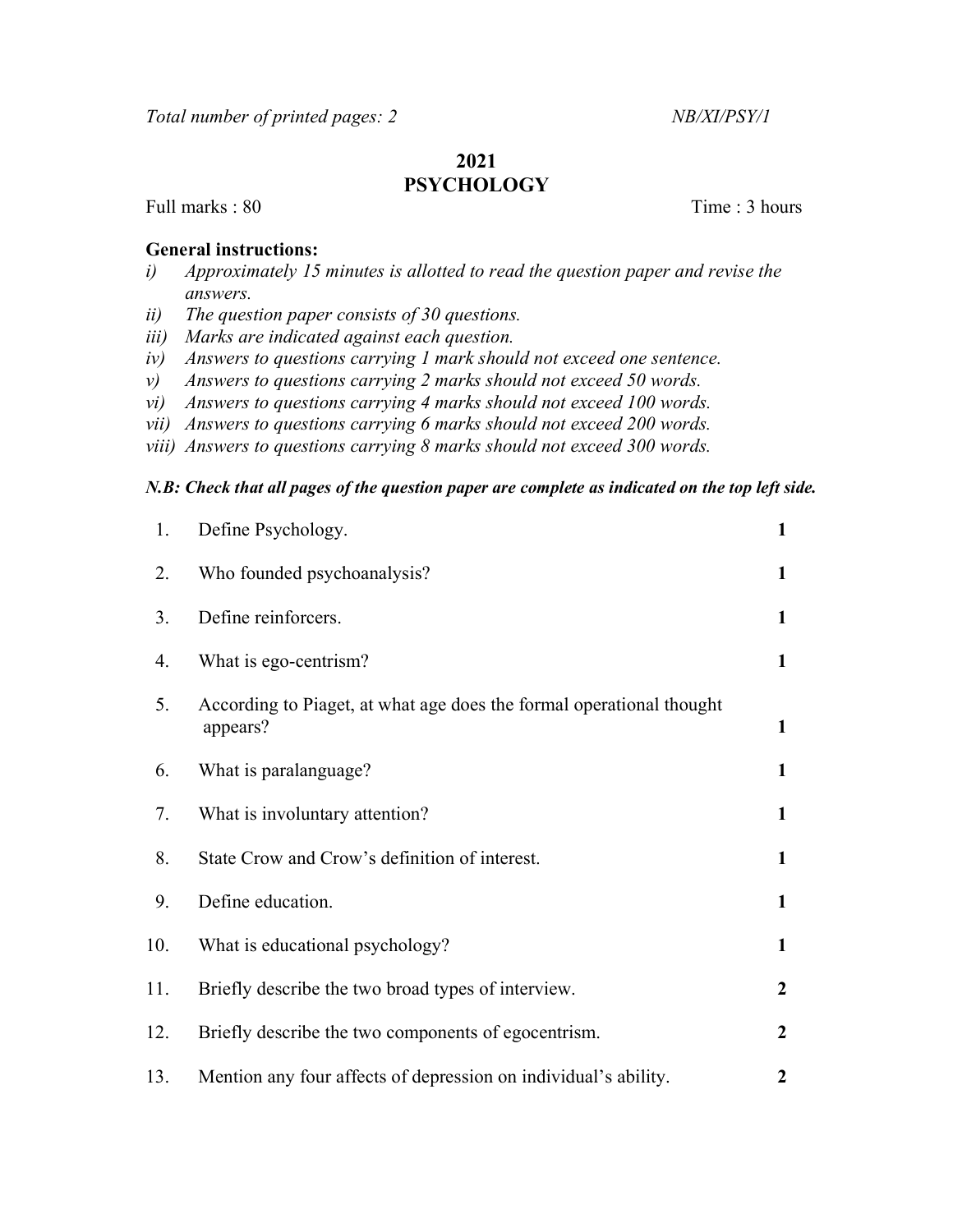## 2021 **PSYCHOLOGY**

Full marks : 80 Time : 3 hours

## General instructions:

- i) Approximately 15 minutes is allotted to read the question paper and revise the answers.
- ii) The question paper consists of 30 questions.
- iii) Marks are indicated against each question.
- iv) Answers to questions carrying 1 mark should not exceed one sentence.
- v) Answers to questions carrying 2 marks should not exceed 50 words.
- vi) Answers to questions carrying 4 marks should not exceed 100 words.
- vii) Answers to questions carrying 6 marks should not exceed 200 words.
- viii) Answers to questions carrying 8 marks should not exceed 300 words.

## N.B: Check that all pages of the question paper are complete as indicated on the top left side.

| 1.  | Define Psychology.                                                               | $\mathbf{1}$     |
|-----|----------------------------------------------------------------------------------|------------------|
| 2.  | Who founded psychoanalysis?                                                      | 1                |
| 3.  | Define reinforcers.                                                              | $\mathbf{1}$     |
| 4.  | What is ego-centrism?                                                            | $\mathbf{1}$     |
| 5.  | According to Piaget, at what age does the formal operational thought<br>appears? | $\mathbf{1}$     |
| 6.  | What is paralanguage?                                                            | $\mathbf{1}$     |
| 7.  | What is involuntary attention?                                                   | $\mathbf{1}$     |
| 8.  | State Crow and Crow's definition of interest.                                    | $\mathbf{1}$     |
| 9.  | Define education.                                                                | $\mathbf{1}$     |
| 10. | What is educational psychology?                                                  | $\mathbf{1}$     |
| 11. | Briefly describe the two broad types of interview.                               | $\boldsymbol{2}$ |
| 12. | Briefly describe the two components of egocentrism.                              | $\boldsymbol{2}$ |
| 13. | Mention any four affects of depression on individual's ability.                  | $\boldsymbol{2}$ |